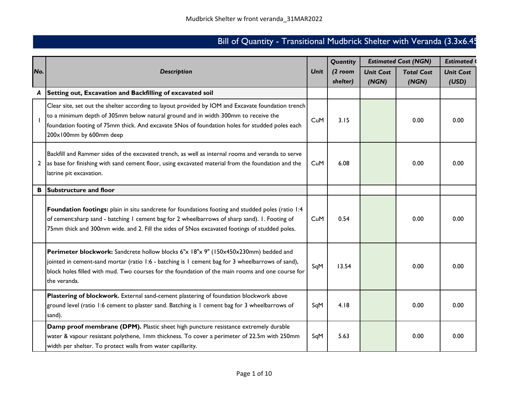## Bill of Quantity - Transitional Mudbrick Shelter with Veranda (3.3x6.45

|     |                                                                                                                                                                                                                                                                                                                       |             | Quantity  |                  | <b>Estimated Cost (NGN)</b> | <b>Estimated</b> |  |
|-----|-----------------------------------------------------------------------------------------------------------------------------------------------------------------------------------------------------------------------------------------------------------------------------------------------------------------------|-------------|-----------|------------------|-----------------------------|------------------|--|
| No. | <b>Description</b>                                                                                                                                                                                                                                                                                                    | <b>Unit</b> | $(2$ room | <b>Unit Cost</b> | <b>Total Cost</b>           | <b>Unit Cost</b> |  |
|     |                                                                                                                                                                                                                                                                                                                       |             | shelter)  | (NGN)            | (NGN)                       | (USD)            |  |
|     | Setting out, Excavation and Backfilling of excavated soil                                                                                                                                                                                                                                                             |             |           |                  |                             |                  |  |
|     | Clear site, set out the shelter according to layout provided by IOM and Excavate foundation trench<br>to a minimum depth of 305mm below natural ground and in width 300mm to receive the<br>foundation footing of 75mm thick. And excavate 5Nos of foundation holes for studded poles each<br>200x100mm by 600mm deep | CuM         | 3.15      |                  | 0.00                        | 0.00             |  |
| 2   | Backfill and Rammer sides of the excavated trench, as well as internal rooms and veranda to serve<br>as base for finishing with sand cement floor, using excavated material from the foundation and the<br>latrine pit excavation.                                                                                    | CuM         | 6.08      |                  | 0.00                        | 0.00             |  |
| В   | <b>Substructure and floor</b>                                                                                                                                                                                                                                                                                         |             |           |                  |                             |                  |  |
|     | Foundation footings: plain in situ sandcrete for foundations footing and studded poles (ratio 1:4<br>of cement:sharp sand - batching I cement bag for 2 wheelbarrows of sharp sand). I. Footing of<br>75mm thick and 300mm wide. and 2. Fill the sides of 5Nos excavated footings of studded poles.                   | CuM         | 0.54      |                  | 0.00                        | 0.00             |  |
|     | Perimeter blockwork: Sandcrete hollow blocks 6"x 18"x 9" (150x450x230mm) bedded and<br>jointed in cement-sand mortar (ratio 1:6 - batching is 1 cement bag for 3 wheelbarrows of sand),<br>block holes filled with mud. Two courses for the foundation of the main rooms and one course for<br>the veranda.           | SqM         | 13.54     |                  | 0.00                        | 0.00             |  |
|     | Plastering of blockwork. External sand-cement plastering of foundation blockwork above<br>ground level (ratio 1:6 cement to plaster sand. Batching is 1 cement bag for 3 wheelbarrows of<br>sand).                                                                                                                    | SqM         | 4.18      |                  | 0.00                        | 0.00             |  |
|     | Damp proof membrane (DPM). Plastic sheet high puncture resistance extremely durable<br>water & vapour resistant polythene, Imm thickness. To cover a perimeter of 22.5m with 250mm<br>width per shelter. To protect walls from water capillarity.                                                                     | SqM         | 5.63      |                  | 0.00                        | 0.00             |  |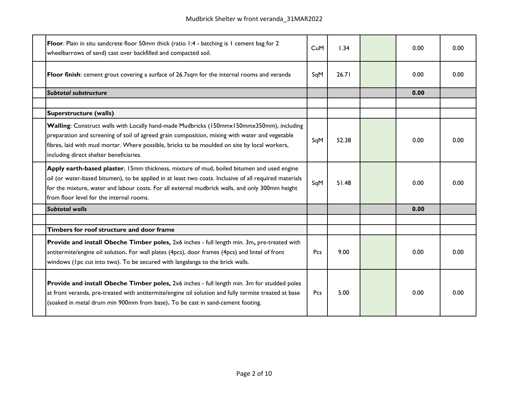| Floor. Plain in situ sandcrete floor 50mm thick (ratio 1:4 - batching is 1 cement bag for 2<br>wheelbarrows of sand) cast over backfilled and compacted soil.                                                                                                                                                                                      | CuM | 1.34  | 0.00 | 0.00 |
|----------------------------------------------------------------------------------------------------------------------------------------------------------------------------------------------------------------------------------------------------------------------------------------------------------------------------------------------------|-----|-------|------|------|
| Floor finish: cement grout covering a surface of 26.7sqm for the internal rooms and veranda                                                                                                                                                                                                                                                        | SqM | 26.71 | 0.00 | 0.00 |
| <b>Subtotal substructure</b>                                                                                                                                                                                                                                                                                                                       |     |       | 0.00 |      |
|                                                                                                                                                                                                                                                                                                                                                    |     |       |      |      |
| <b>Superstructure (walls)</b>                                                                                                                                                                                                                                                                                                                      |     |       |      |      |
| Walling: Construct walls with Locally hand-made Mudbricks (150mmx150mmx350mm), including<br>preparation and screening of soil of agreed grain composition, mixing with water and vegetable<br>fibres, laid with mud mortar. Where possible, bricks to be moulded on site by local workers,<br>including direct shelter beneficiaries.              | SqM | 52.38 | 0.00 | 0.00 |
| Apply earth-based plaster, 15mm thickness, mixture of mud, boiled bitumen and used engine<br>oil (or water-based bitumen), to be applied in at least two coats. Inclusive of all required materials<br>for the mixture, water and labour costs. For all external mudbrick walls, and only 300mm height<br>from floor level for the internal rooms. | SqM | 51.48 | 0.00 | 0.00 |
| <b>Subtotal walls</b>                                                                                                                                                                                                                                                                                                                              |     |       | 0.00 |      |
|                                                                                                                                                                                                                                                                                                                                                    |     |       |      |      |
| Timbers for roof structure and door frame                                                                                                                                                                                                                                                                                                          |     |       |      |      |
| Provide and install Obeche Timber poles, 2x6 inches - full length min. 3m, pre-treated with<br>antitermite/engine oil solution. For wall plates (4pcs), door frames (4pcs) and lintel of front<br>windows (Ipc cut into two). To be secured with langalanga to the brick walls.                                                                    | Pcs | 9.00  | 0.00 | 0.00 |
| Provide and install Obeche Timber poles, 2x6 inches - full length min. 3m for studded poles<br>at front veranda, pre-treated with antitermite/engine oil solution and fully termite treated at base<br>(soaked in metal drum min 900mm from base). To be cast in sand-cement footing.                                                              | Pcs | 5.00  | 0.00 | 0.00 |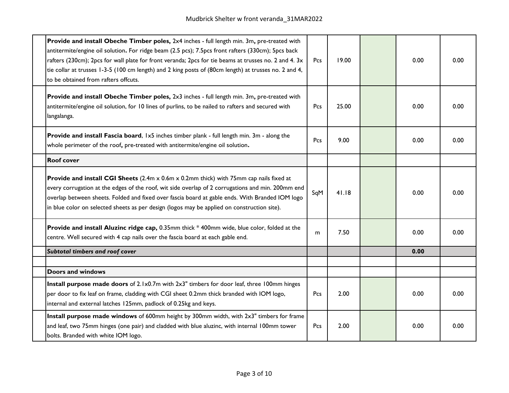| Provide and install Obeche Timber poles, 2x4 inches - full length min. 3m, pre-treated with<br>antitermite/engine oil solution. For ridge beam (2.5 pcs); 7.5pcs front rafters (330cm); 5pcs back<br>rafters (230cm); 2pcs for wall plate for front veranda; 2pcs for tie beams at trusses no. 2 and 4. 3x<br>tie collar at trusses 1-3-5 (100 cm length) and 2 king posts of (80cm length) at trusses no. 2 and 4,<br>to be obtained from rafters offcuts. | Pcs | 19.00 | 0.00 | 0.00 |
|-------------------------------------------------------------------------------------------------------------------------------------------------------------------------------------------------------------------------------------------------------------------------------------------------------------------------------------------------------------------------------------------------------------------------------------------------------------|-----|-------|------|------|
| Provide and install Obeche Timber poles, 2x3 inches - full length min. 3m, pre-treated with<br>antitermite/engine oil solution, for 10 lines of purlins, to be nailed to rafters and secured with<br>langalanga.                                                                                                                                                                                                                                            | Pcs | 25.00 | 0.00 | 0.00 |
| Provide and install Fascia board, 1x5 inches timber plank - full length min. 3m - along the<br>whole perimeter of the roof, pre-treated with antitermite/engine oil solution.                                                                                                                                                                                                                                                                               |     | 9.00  | 0.00 | 0.00 |
| <b>Roof cover</b>                                                                                                                                                                                                                                                                                                                                                                                                                                           |     |       |      |      |
| <b>Provide and install CGI Sheets</b> (2.4m x 0.6m x 0.2mm thick) with 75mm cap nails fixed at<br>every corrugation at the edges of the roof, wit side overlap of 2 corrugations and min. 200mm end<br>overlap between sheets. Folded and fixed over fascia board at gable ends. With Branded IOM logo<br>in blue color on selected sheets as per design (logos may be applied on construction site).                                                       | SqM | 41.18 | 0.00 | 0.00 |
| Provide and install Aluzinc ridge cap, 0.35mm thick * 400mm wide, blue color, folded at the<br>centre. Well secured with 4 cap nails over the fascia board at each gable end.                                                                                                                                                                                                                                                                               | m   | 7.50  | 0.00 | 0.00 |
| Subtotal timbers and roof cover                                                                                                                                                                                                                                                                                                                                                                                                                             |     |       | 0.00 |      |
|                                                                                                                                                                                                                                                                                                                                                                                                                                                             |     |       |      |      |
| <b>Doors and windows</b>                                                                                                                                                                                                                                                                                                                                                                                                                                    |     |       |      |      |
| Install purpose made doors of 2.1x0.7m with 2x3" timbers for door leaf, three 100mm hinges<br>per door to fix leaf on frame, cladding with CGI sheet 0.2mm thick branded with IOM logo,<br>internal and external latches 125mm, padlock of 0.25kg and keys.                                                                                                                                                                                                 | Pcs | 2.00  | 0.00 | 0.00 |
| Install purpose made windows of 600mm height by 300mm width, with 2x3" timbers for frame<br>and leaf, two 75mm hinges (one pair) and cladded with blue aluzinc, with internal 100mm tower<br>bolts. Branded with white IOM logo.                                                                                                                                                                                                                            | Pcs | 2.00  | 0.00 | 0.00 |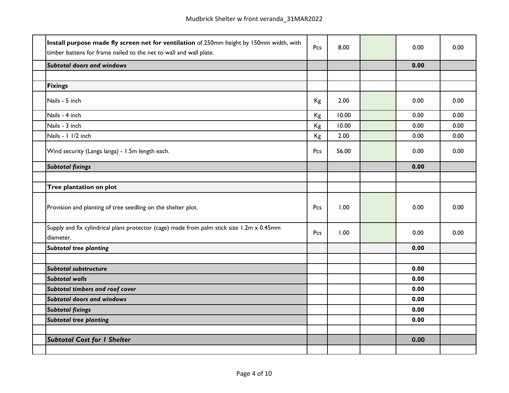| Install purpose made fly screen net for ventilation of 250mm height by 150mm width, with<br>timber battens for frame nailed to the net to wall and wall plate. | Pcs | 8.00  | 0.00 | 0.00 |
|----------------------------------------------------------------------------------------------------------------------------------------------------------------|-----|-------|------|------|
| <b>Subtotal doors and windows</b>                                                                                                                              |     |       | 0.00 |      |
|                                                                                                                                                                |     |       |      |      |
| <b>Fixings</b>                                                                                                                                                 |     |       |      |      |
| Nails - 5 inch                                                                                                                                                 | Kg  | 2.00  | 0.00 | 0.00 |
| Nails - 4 inch                                                                                                                                                 | Kg  | 10.00 | 0.00 | 0.00 |
| Nails - 3 inch                                                                                                                                                 | Kg  | 10.00 | 0.00 | 0.00 |
| Nails - 1 1/2 inch                                                                                                                                             | Kg  | 2.00  | 0.00 | 0.00 |
| Wind security (Langa langa) - 1.5m length each.                                                                                                                | Pcs | 56.00 | 0.00 | 0.00 |
| <b>Subtotal fixings</b>                                                                                                                                        |     |       | 0.00 |      |
|                                                                                                                                                                |     |       |      |      |
| Tree plantation on plot                                                                                                                                        |     |       |      |      |
| Provision and planting of tree seedling on the shelter plot.                                                                                                   | Pcs | 1.00  | 0.00 | 0.00 |
| Supply and fix cylindrical plant protector (cage) made from palm stick size 1.2m x 0.45mm<br>diameter.                                                         | Pcs | 1.00  | 0.00 | 0.00 |
| <b>Subtotal tree planting</b>                                                                                                                                  |     |       | 0.00 |      |
|                                                                                                                                                                |     |       |      |      |
| Subtotal substructure                                                                                                                                          |     |       | 0.00 |      |
| <b>Subtotal walls</b>                                                                                                                                          |     |       | 0.00 |      |
| Subtotal timbers and roof cover                                                                                                                                |     |       | 0.00 |      |
| <b>Subtotal doors and windows</b>                                                                                                                              |     |       | 0.00 |      |
| <b>Subtotal fixings</b>                                                                                                                                        |     |       | 0.00 |      |
| <b>Subtotal tree planting</b>                                                                                                                                  |     |       | 0.00 |      |
|                                                                                                                                                                |     |       |      |      |
| <b>Subtotal Cost for I Shelter</b>                                                                                                                             |     |       | 0.00 |      |
|                                                                                                                                                                |     |       |      |      |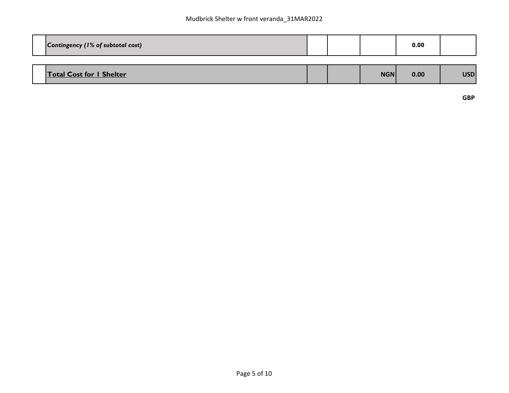| Contingency (1% of subtotal cost) |  |            | 0.00 |            |
|-----------------------------------|--|------------|------|------------|
|                                   |  |            |      |            |
| <b>Total Cost for I Shelter</b>   |  | <b>NGN</b> | 0.00 | <b>USD</b> |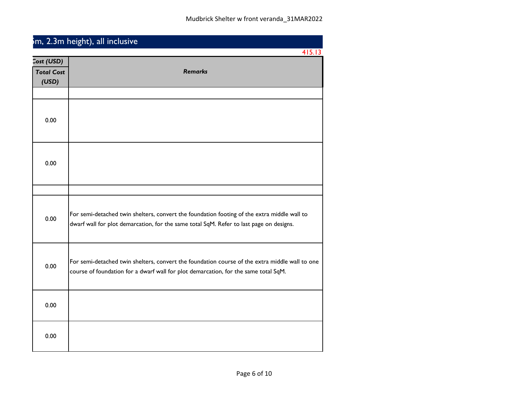|                                          | <sup>5</sup> m, 2.3m height), all inclusive                                                                                                                                            |
|------------------------------------------|----------------------------------------------------------------------------------------------------------------------------------------------------------------------------------------|
|                                          | 415.13                                                                                                                                                                                 |
| Cost (USD)<br><b>Total Cost</b><br>(USD) | <b>Remarks</b>                                                                                                                                                                         |
| 0.00                                     |                                                                                                                                                                                        |
| 0.00                                     |                                                                                                                                                                                        |
|                                          |                                                                                                                                                                                        |
| 0.00                                     | For semi-detached twin shelters, convert the foundation footing of the extra middle wall to<br>dwarf wall for plot demarcation, for the same total SqM. Refer to last page on designs. |
| 0.00                                     | For semi-detached twin shelters, convert the foundation course of the extra middle wall to one<br>course of foundation for a dwarf wall for plot demarcation, for the same total SqM.  |
| 0.00                                     |                                                                                                                                                                                        |
| 0.00                                     |                                                                                                                                                                                        |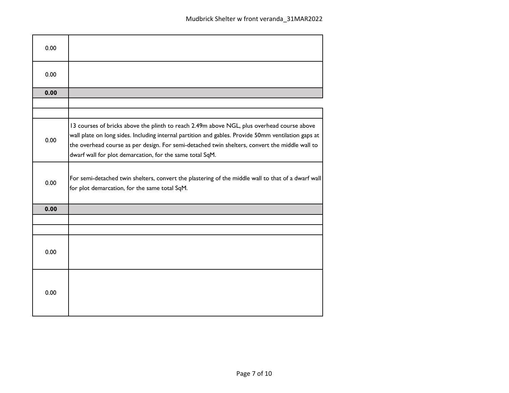| 0.00 |                                                                                                                                                                                                                                                                                                                                                                 |
|------|-----------------------------------------------------------------------------------------------------------------------------------------------------------------------------------------------------------------------------------------------------------------------------------------------------------------------------------------------------------------|
| 0.00 |                                                                                                                                                                                                                                                                                                                                                                 |
| 0.00 |                                                                                                                                                                                                                                                                                                                                                                 |
|      |                                                                                                                                                                                                                                                                                                                                                                 |
|      |                                                                                                                                                                                                                                                                                                                                                                 |
| 0.00 | 13 courses of bricks above the plinth to reach 2.49m above NGL, plus overhead course above<br>wall plate on long sides. Including internal partition and gables. Provide 50mm ventilation gaps at<br>the overhead course as per design. For semi-detached twin shelters, convert the middle wall to<br>dwarf wall for plot demarcation, for the same total SqM. |
| 0.00 | For semi-detached twin shelters, convert the plastering of the middle wall to that of a dwarf wall<br>for plot demarcation, for the same total SqM.                                                                                                                                                                                                             |
| 0.00 |                                                                                                                                                                                                                                                                                                                                                                 |
|      |                                                                                                                                                                                                                                                                                                                                                                 |
|      |                                                                                                                                                                                                                                                                                                                                                                 |
| 0.00 |                                                                                                                                                                                                                                                                                                                                                                 |
| 0.00 |                                                                                                                                                                                                                                                                                                                                                                 |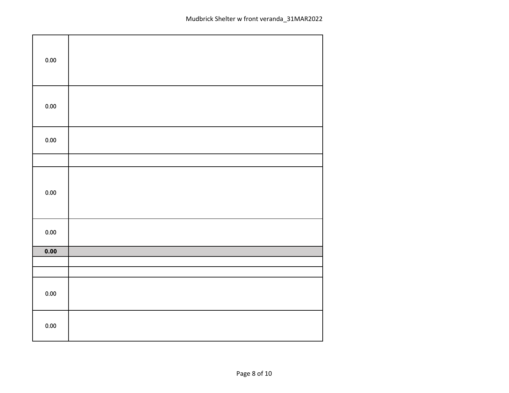| $0.00\,$ |  |
|----------|--|
| $0.00\,$ |  |
| $0.00\,$ |  |
|          |  |
| $0.00\,$ |  |
| 0.00     |  |
| 0.00     |  |
|          |  |
|          |  |
| $0.00\,$ |  |
| $0.00\,$ |  |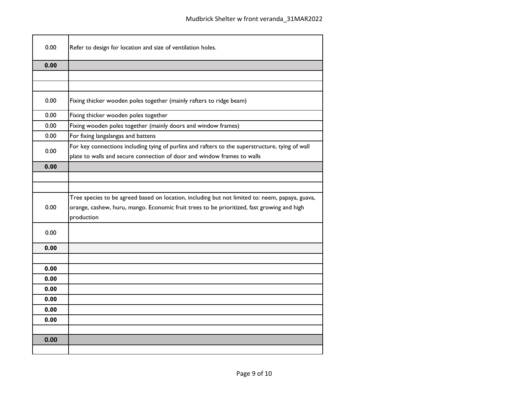| 0.00         | Refer to design for location and size of ventilation holes.                                                                                                                                                 |
|--------------|-------------------------------------------------------------------------------------------------------------------------------------------------------------------------------------------------------------|
| 0.00         |                                                                                                                                                                                                             |
|              |                                                                                                                                                                                                             |
|              |                                                                                                                                                                                                             |
| 0.00         | Fixing thicker wooden poles together (mainly rafters to ridge beam)                                                                                                                                         |
| 0.00         | Fixing thicker wooden poles together                                                                                                                                                                        |
| 0.00         | Fixing wooden poles together (mainly doors and window frames)                                                                                                                                               |
| 0.00         | For fixing langalangas and battens                                                                                                                                                                          |
| 0.00         | For key connections including tying of purlins and rafters to the superstructure, tying of wall<br>plate to walls and secure connection of door and window frames to walls                                  |
| 0.00         |                                                                                                                                                                                                             |
|              |                                                                                                                                                                                                             |
|              |                                                                                                                                                                                                             |
| 0.00         | Tree species to be agreed based on location, including but not limited to: neem, papaya, guava,<br>orange, cashew, huru, mango. Economic fruit trees to be prioritized, fast growing and high<br>production |
| 0.00         |                                                                                                                                                                                                             |
| 0.00         |                                                                                                                                                                                                             |
|              |                                                                                                                                                                                                             |
| 0.00         |                                                                                                                                                                                                             |
| 0.00         |                                                                                                                                                                                                             |
| 0.00         |                                                                                                                                                                                                             |
| 0.00<br>0.00 |                                                                                                                                                                                                             |
| 0.00         |                                                                                                                                                                                                             |
|              |                                                                                                                                                                                                             |
| 0.00         |                                                                                                                                                                                                             |
|              |                                                                                                                                                                                                             |